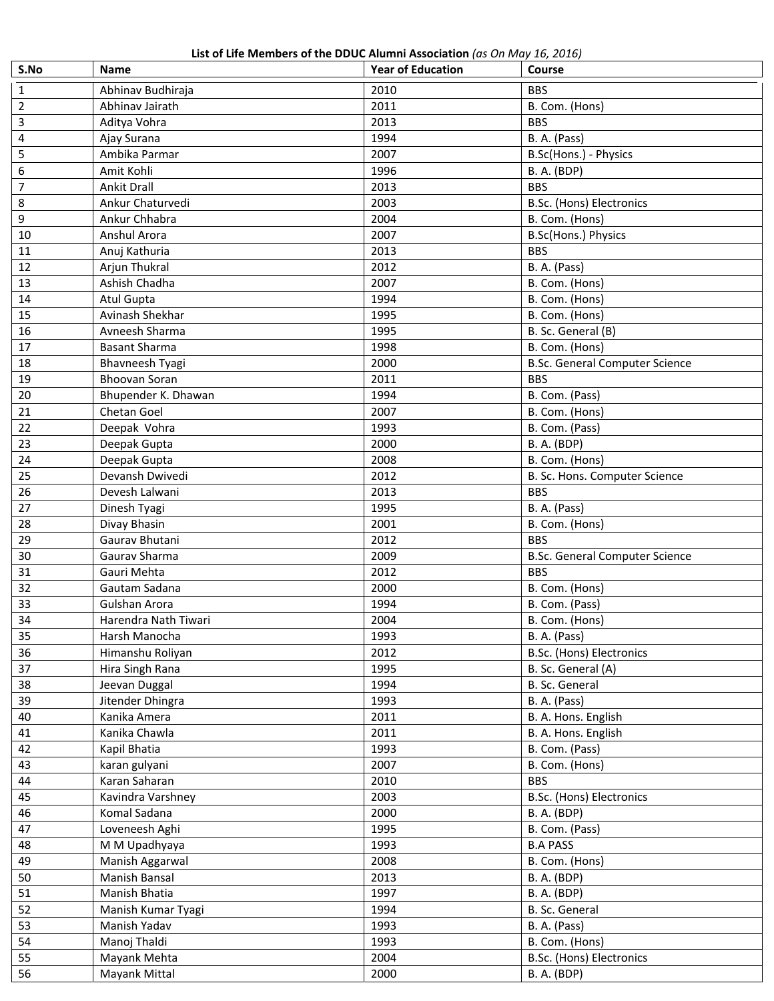**List of Life Members of the DDUC Alumni Association** *(as On May 16, 2016)*

| S.No           | <b>ED. OF EAC INCHINCIP OF THE DDOC ANTHHIT ASSOCIATION</b> (85 ON 1918) 10, 2010)<br>Name | <b>Year of Education</b> | Course                                         |
|----------------|--------------------------------------------------------------------------------------------|--------------------------|------------------------------------------------|
| 1              | Abhinav Budhiraja                                                                          | 2010                     | <b>BBS</b>                                     |
| 2              | Abhinav Jairath                                                                            | 2011                     | B. Com. (Hons)                                 |
| 3              | Aditya Vohra                                                                               | 2013                     | <b>BBS</b>                                     |
| $\overline{4}$ | Ajay Surana                                                                                | 1994                     | B. A. (Pass)                                   |
| 5              | Ambika Parmar                                                                              | 2007                     | B.Sc(Hons.) - Physics                          |
| 6              | Amit Kohli                                                                                 | 1996                     | <b>B. A. (BDP)</b>                             |
| $\overline{7}$ | Ankit Drall                                                                                | 2013                     | <b>BBS</b>                                     |
| 8              | Ankur Chaturvedi                                                                           | 2003                     | B.Sc. (Hons) Electronics                       |
| 9              | Ankur Chhabra                                                                              | 2004                     | B. Com. (Hons)                                 |
| 10             | Anshul Arora                                                                               | 2007                     | B.Sc(Hons.) Physics                            |
| 11             | Anuj Kathuria                                                                              | 2013                     | <b>BBS</b>                                     |
| 12             | Arjun Thukral                                                                              | 2012                     | B. A. (Pass)                                   |
| 13             | Ashish Chadha                                                                              | 2007                     | B. Com. (Hons)                                 |
| 14             | <b>Atul Gupta</b>                                                                          | 1994                     | B. Com. (Hons)                                 |
| 15             | Avinash Shekhar                                                                            | 1995                     | B. Com. (Hons)                                 |
| 16             | Avneesh Sharma                                                                             | 1995                     | B. Sc. General (B)                             |
| 17             | <b>Basant Sharma</b>                                                                       | 1998                     | B. Com. (Hons)                                 |
| 18             | <b>Bhavneesh Tyagi</b>                                                                     | 2000                     | <b>B.Sc. General Computer Science</b>          |
| 19             | <b>Bhoovan Soran</b>                                                                       | 2011                     | <b>BBS</b>                                     |
| 20             | Bhupender K. Dhawan                                                                        | 1994                     | B. Com. (Pass)                                 |
| 21             | Chetan Goel                                                                                | 2007                     | B. Com. (Hons)                                 |
| 22             | Deepak Vohra                                                                               | 1993                     | B. Com. (Pass)                                 |
| 23             | Deepak Gupta                                                                               | 2000                     | <b>B.A.</b> (BDP)                              |
| 24             | Deepak Gupta                                                                               | 2008                     | B. Com. (Hons)                                 |
| 25             | Devansh Dwivedi                                                                            | 2012                     | B. Sc. Hons. Computer Science                  |
| 26             | Devesh Lalwani                                                                             | 2013                     | <b>BBS</b>                                     |
| 27             | Dinesh Tyagi                                                                               | 1995                     | B. A. (Pass)                                   |
| 28             | Divay Bhasin                                                                               | 2001                     | B. Com. (Hons)                                 |
| 29             | Gaurav Bhutani                                                                             | 2012                     | <b>BBS</b>                                     |
| 30             | Gaurav Sharma                                                                              | 2009                     | <b>B.Sc. General Computer Science</b>          |
| 31             | Gauri Mehta                                                                                | 2012                     | <b>BBS</b>                                     |
| 32             | Gautam Sadana                                                                              | 2000                     | B. Com. (Hons)                                 |
| 33             | Gulshan Arora                                                                              | 1994                     | B. Com. (Pass)                                 |
| 34             | Harendra Nath Tiwari                                                                       | 2004                     | B. Com. (Hons)                                 |
| 35             | Harsh Manocha                                                                              | 1993                     | B. A. (Pass)                                   |
| 36             | Himanshu Roliyan                                                                           | 2012                     | B.Sc. (Hons) Electronics                       |
| 37             | Hira Singh Rana                                                                            | 1995                     | B. Sc. General (A)                             |
| 38             | Jeevan Duggal                                                                              | 1994                     | B. Sc. General                                 |
| 39             | Jitender Dhingra                                                                           | 1993                     | B. A. (Pass)                                   |
| 40             | Kanika Amera                                                                               | 2011                     | B. A. Hons. English                            |
| 41             | Kanika Chawla                                                                              | 2011                     | B. A. Hons. English                            |
| 42             | Kapil Bhatia                                                                               | 1993                     | B. Com. (Pass)                                 |
| 43             |                                                                                            | 2007                     | B. Com. (Hons)                                 |
| 44             | karan gulyani                                                                              | 2010                     | <b>BBS</b>                                     |
|                | Karan Saharan                                                                              |                          |                                                |
| 45<br>46       | Kavindra Varshney<br>Komal Sadana                                                          | 2003<br>2000             | B.Sc. (Hons) Electronics<br><b>B. A. (BDP)</b> |
| 47             |                                                                                            |                          |                                                |
| 48             | Loveneesh Aghi                                                                             | 1995                     | B. Com. (Pass)                                 |
|                | M M Upadhyaya                                                                              | 1993                     | <b>B.A PASS</b>                                |
| 49             | Manish Aggarwal                                                                            | 2008                     | B. Com. (Hons)                                 |
| 50             | Manish Bansal                                                                              | 2013                     | <b>B. A. (BDP)</b>                             |
| 51             | Manish Bhatia                                                                              | 1997                     | <b>B.A.</b> (BDP)                              |
| 52             | Manish Kumar Tyagi                                                                         | 1994                     | B. Sc. General                                 |
| 53             | Manish Yadav                                                                               | 1993                     | B. A. (Pass)                                   |
| 54             | Manoj Thaldi                                                                               | 1993                     | B. Com. (Hons)                                 |
| 55             | Mayank Mehta                                                                               | 2004                     | B.Sc. (Hons) Electronics                       |
| 56             | Mayank Mittal                                                                              | 2000                     | <b>B. A. (BDP)</b>                             |